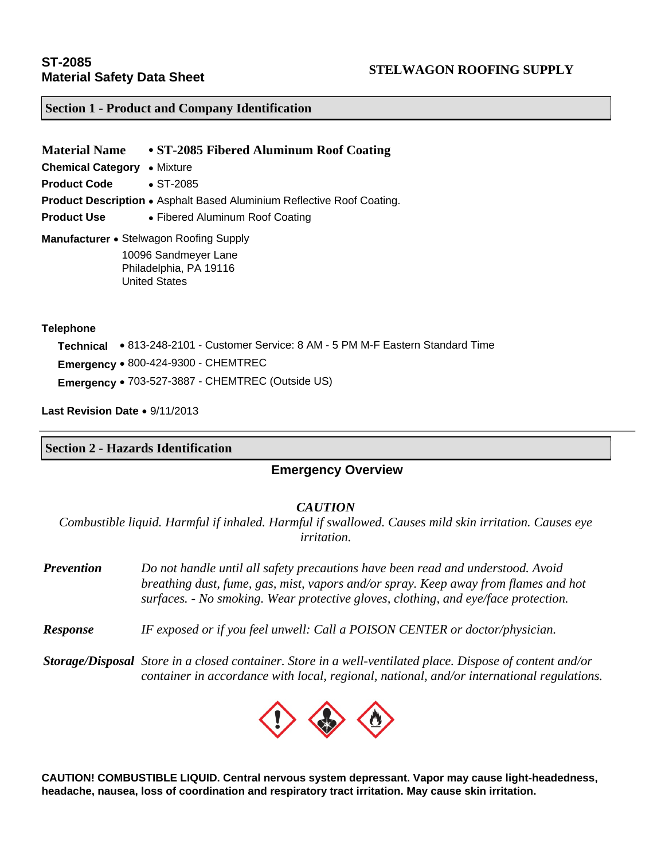#### **Section 1 - Product and Company Identification**

**Material Name ST-2085 Fibered Aluminum Roof Coating Chemical Category • Mixture Product Code • ST-2085 Product Description •** Asphalt Based Aluminium Reflective Roof Coating. **Product Use • Fibered Aluminum Roof Coating Manufacturer •** Stelwagon Roofing Supply 10096 Sandmeyer Lane Philadelphia, PA 19116

#### **Telephone**

 **Technical** 813-248-2101 - Customer Service: 8 AM - 5 PM M-F Eastern Standard Time **Emergency** 800-424-9300 - CHEMTREC **Emergency** 703-527-3887 - CHEMTREC (Outside US)

Last Revision Date • 9/11/2013

#### **Section 2 - Hazards Identification**

United States

#### **Emergency Overview**

#### *CAUTION*

*Combustible liquid. Harmful if inhaled. Harmful if swallowed. Causes mild skin irritation. Causes eye irritation.* 

*Prevention Do not handle until all safety precautions have been read and understood. Avoid breathing dust, fume, gas, mist, vapors and/or spray. Keep away from flames and hot surfaces. - No smoking. Wear protective gloves, clothing, and eye/face protection.* 

- *Response IF exposed or if you feel unwell: Call a POISON CENTER or doctor/physician.*
- *Storage/Disposal Store in a closed container. Store in a well-ventilated place. Dispose of content and/or container in accordance with local, regional, national, and/or international regulations.*



**CAUTION! COMBUSTIBLE LIQUID. Central nervous system depressant. Vapor may cause light-headedness, headache, nausea, loss of coordination and respiratory tract irritation. May cause skin irritation.**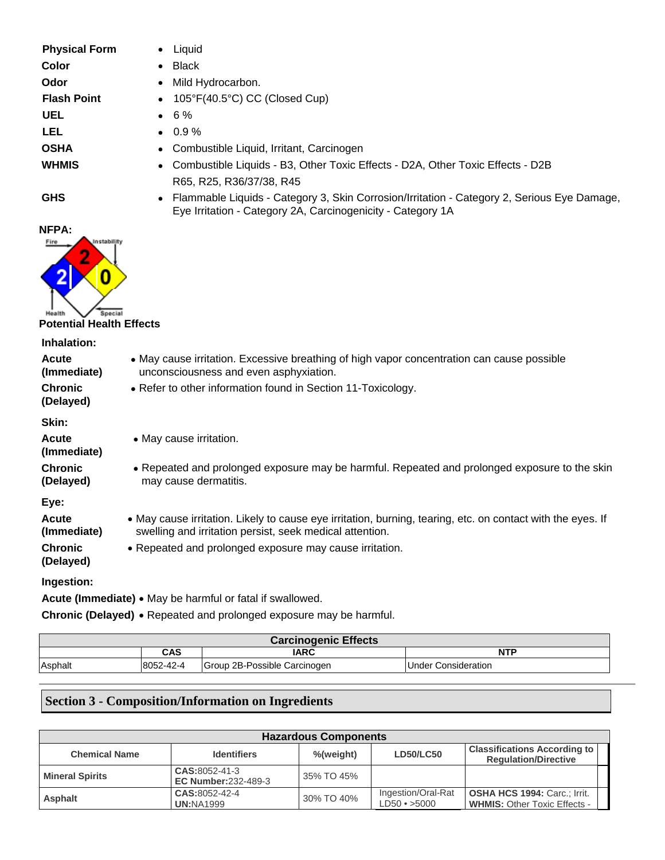| <b>Physical Form</b><br>Color<br>Odor<br><b>Flash Point</b><br><b>UEL</b><br>LEL<br><b>OSHA</b><br><b>WHMIS</b> | Liquid<br><b>Black</b><br>$\bullet$<br>Mild Hydrocarbon.<br>$\bullet$<br>105°F(40.5°C) CC (Closed Cup)<br>٠<br>6%<br>0.9%<br>$\bullet$<br>Combustible Liquid, Irritant, Carcinogen<br>Combustible Liquids - B3, Other Toxic Effects - D2A, Other Toxic Effects - D2B<br>٠<br>R65, R25, R36/37/38, R45 |  |  |  |
|-----------------------------------------------------------------------------------------------------------------|-------------------------------------------------------------------------------------------------------------------------------------------------------------------------------------------------------------------------------------------------------------------------------------------------------|--|--|--|
| <b>GHS</b>                                                                                                      | Flammable Liquids - Category 3, Skin Corrosion/Irritation - Category 2, Serious Eye Damage,<br>Eye Irritation - Category 2A, Carcinogenicity - Category 1A                                                                                                                                            |  |  |  |
| NFPA:<br>Instability<br>Fire<br>0<br>Special<br><b>Potential Health Effects</b>                                 |                                                                                                                                                                                                                                                                                                       |  |  |  |
| Inhalation:                                                                                                     |                                                                                                                                                                                                                                                                                                       |  |  |  |
| <b>Acute</b><br>(Immediate)                                                                                     | • May cause irritation. Excessive breathing of high vapor concentration can cause possible<br>unconsciousness and even asphyxiation.                                                                                                                                                                  |  |  |  |
| <b>Chronic</b><br>(Delayed)                                                                                     | • Refer to other information found in Section 11-Toxicology.                                                                                                                                                                                                                                          |  |  |  |
| Skin:                                                                                                           |                                                                                                                                                                                                                                                                                                       |  |  |  |
| <b>Acute</b><br>(Immediate)                                                                                     | • May cause irritation.                                                                                                                                                                                                                                                                               |  |  |  |
| <b>Chronic</b><br>(Delayed)                                                                                     | • Repeated and prolonged exposure may be harmful. Repeated and prolonged exposure to the skin<br>may cause dermatitis.                                                                                                                                                                                |  |  |  |
| Eye:                                                                                                            |                                                                                                                                                                                                                                                                                                       |  |  |  |
| Acute<br>(Immediate)                                                                                            | • May cause irritation. Likely to cause eye irritation, burning, tearing, etc. on contact with the eyes. If<br>swelling and irritation persist, seek medical attention.                                                                                                                               |  |  |  |
| <b>Chronic</b><br>(Delayed)                                                                                     | • Repeated and prolonged exposure may cause irritation.                                                                                                                                                                                                                                               |  |  |  |
| Ingestion:                                                                                                      |                                                                                                                                                                                                                                                                                                       |  |  |  |
|                                                                                                                 | Acute (Immediate) . May be harmful or fatal if swallowed.                                                                                                                                                                                                                                             |  |  |  |
|                                                                                                                 | Chronic (Delayed) • Repeated and prolonged exposure may be harmful.                                                                                                                                                                                                                                   |  |  |  |

| <b>Carcinogenic Effects</b> |           |                              |                             |  |
|-----------------------------|-----------|------------------------------|-----------------------------|--|
|                             | CAS       | <b>IARC</b>                  | <b>NTP</b>                  |  |
| Asphalt                     | 8052-42-4 | Group 2B-Possible Carcinogen | <b>IUnder Consideration</b> |  |

# **Section 3 - Composition/Information on Ingredients**

| <b>Hazardous Components</b> |                                             |            |                                          |                                                                      |  |
|-----------------------------|---------------------------------------------|------------|------------------------------------------|----------------------------------------------------------------------|--|
| <b>Chemical Name</b>        | <b>Identifiers</b>                          | %(weight)  | <b>LD50/LC50</b>                         | <b>Classifications According to  </b><br><b>Regulation/Directive</b> |  |
| <b>Mineral Spirits</b>      | CAS:8052-41-3<br><b>EC Number:232-489-3</b> | 35% TO 45% |                                          |                                                                      |  |
| <b>Asphalt</b>              | CAS:8052-42-4<br><b>UN:NA1999</b>           | 30% TO 40% | Ingestion/Oral-Rat<br>$LD50 \cdot >5000$ | OSHA HCS 1994: Carc.; Irrit.<br><b>WHMIS: Other Toxic Effects -</b>  |  |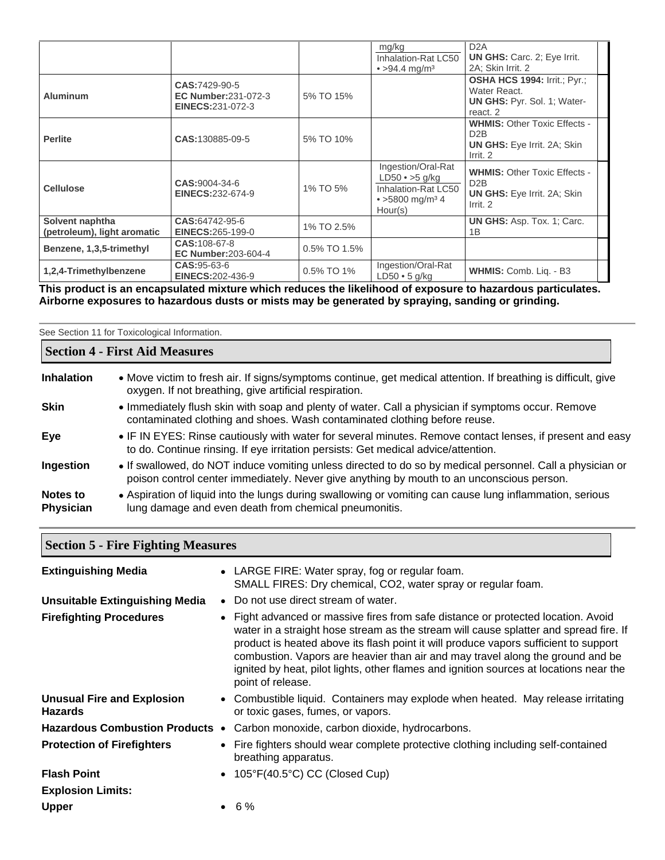|                                                |                                                                        |              | mg/kg<br>Inhalation-Rat LC50<br>• $>94.4$ mg/m <sup>3</sup>                                                   | D <sub>2</sub> A<br><b>UN GHS:</b> Carc. 2; Eye Irrit.<br>2A: Skin Irrit. 2                    |  |
|------------------------------------------------|------------------------------------------------------------------------|--------------|---------------------------------------------------------------------------------------------------------------|------------------------------------------------------------------------------------------------|--|
| <b>Aluminum</b>                                | CAS:7429-90-5<br><b>EC Number:231-072-3</b><br><b>EINECS:231-072-3</b> | 5% TO 15%    |                                                                                                               | OSHA HCS 1994: Irrit.; Pyr.;<br>Water React.<br><b>UN GHS: Pyr. Sol. 1; Water-</b><br>react. 2 |  |
| <b>Perlite</b>                                 | CAS:130885-09-5                                                        | 5% TO 10%    |                                                                                                               | <b>WHMIS: Other Toxic Effects -</b><br>D2B<br><b>UN GHS:</b> Eye Irrit. 2A; Skin<br>Irrit. 2   |  |
| <b>Cellulose</b>                               | CAS:9004-34-6<br>EINECS:232-674-9                                      | 1% TO 5%     | Ingestion/Oral-Rat<br>$LD50 \cdot >5$ g/kg<br>Inhalation-Rat LC50<br>• $>5800$ mg/m <sup>3</sup> 4<br>Hour(s) | <b>WHMIS: Other Toxic Effects -</b><br>D2B<br><b>UN GHS:</b> Eye Irrit. 2A: Skin<br>Irrit. 2   |  |
| Solvent naphtha<br>(petroleum), light aromatic | CAS:64742-95-6<br><b>EINECS:265-199-0</b>                              | 1% TO 2.5%   |                                                                                                               | <b>UN GHS: Asp. Tox. 1; Carc.</b><br>1B                                                        |  |
| Benzene, 1,3,5-trimethyl                       | CAS: 108-67-8<br><b>EC Number:203-604-4</b>                            | 0.5% TO 1.5% |                                                                                                               |                                                                                                |  |
| 1,2,4-Trimethylbenzene                         | CAS: 95-63-6<br><b>EINECS: 202-436-9</b>                               | 0.5% TO 1%   | Ingestion/Oral-Rat<br>$LD50 \cdot 5$ g/kg                                                                     | WHMIS: Comb. Liq. - B3                                                                         |  |

**This product is an encapsulated mixture which reduces the likelihood of exposure to hazardous particulates. Airborne exposures to hazardous dusts or mists may be generated by spraying, sanding or grinding.** 

|                       | See Section 11 for Toxicological Information.                                                                                                                                                          |  |  |  |  |
|-----------------------|--------------------------------------------------------------------------------------------------------------------------------------------------------------------------------------------------------|--|--|--|--|
|                       | <b>Section 4 - First Aid Measures</b>                                                                                                                                                                  |  |  |  |  |
| <b>Inhalation</b>     | • Move victim to fresh air. If signs/symptoms continue, get medical attention. If breathing is difficult, give<br>oxygen. If not breathing, give artificial respiration.                               |  |  |  |  |
| <b>Skin</b>           | • Immediately flush skin with soap and plenty of water. Call a physician if symptoms occur. Remove<br>contaminated clothing and shoes. Wash contaminated clothing before reuse.                        |  |  |  |  |
| Eye                   | • IF IN EYES: Rinse cautiously with water for several minutes. Remove contact lenses, if present and easy<br>to do. Continue rinsing. If eye irritation persists: Get medical advice/attention.        |  |  |  |  |
| Ingestion             | • If swallowed, do NOT induce vomiting unless directed to do so by medical personnel. Call a physician or<br>poison control center immediately. Never give anything by mouth to an unconscious person. |  |  |  |  |
| Notes to<br>Physician | • Aspiration of liquid into the lungs during swallowing or vomiting can cause lung inflammation, serious<br>lung damage and even death from chemical pneumonitis.                                      |  |  |  |  |

| <b>Section 5 - Fire Fighting Measures</b>           |  |                                                                                                                                                                                                                                                                                                                                                                                                                                                                     |  |  |
|-----------------------------------------------------|--|---------------------------------------------------------------------------------------------------------------------------------------------------------------------------------------------------------------------------------------------------------------------------------------------------------------------------------------------------------------------------------------------------------------------------------------------------------------------|--|--|
| <b>Extinguishing Media</b>                          |  | • LARGE FIRE: Water spray, fog or regular foam.<br>SMALL FIRES: Dry chemical, CO2, water spray or regular foam.                                                                                                                                                                                                                                                                                                                                                     |  |  |
| <b>Unsuitable Extinguishing Media</b>               |  | • Do not use direct stream of water.                                                                                                                                                                                                                                                                                                                                                                                                                                |  |  |
| <b>Firefighting Procedures</b>                      |  | • Fight advanced or massive fires from safe distance or protected location. Avoid<br>water in a straight hose stream as the stream will cause splatter and spread fire. If<br>product is heated above its flash point it will produce vapors sufficient to support<br>combustion. Vapors are heavier than air and may travel along the ground and be<br>ignited by heat, pilot lights, other flames and ignition sources at locations near the<br>point of release. |  |  |
| <b>Unusual Fire and Explosion</b><br><b>Hazards</b> |  | • Combustible liquid. Containers may explode when heated. May release irritating<br>or toxic gases, fumes, or vapors.                                                                                                                                                                                                                                                                                                                                               |  |  |
| <b>Hazardous Combustion Products •</b>              |  | Carbon monoxide, carbon dioxide, hydrocarbons.                                                                                                                                                                                                                                                                                                                                                                                                                      |  |  |
| <b>Protection of Firefighters</b>                   |  | • Fire fighters should wear complete protective clothing including self-contained<br>breathing apparatus.                                                                                                                                                                                                                                                                                                                                                           |  |  |
| <b>Flash Point</b>                                  |  | • $105^{\circ}F(40.5^{\circ}C)$ CC (Closed Cup)                                                                                                                                                                                                                                                                                                                                                                                                                     |  |  |
| <b>Explosion Limits:</b>                            |  |                                                                                                                                                                                                                                                                                                                                                                                                                                                                     |  |  |
| <b>Upper</b>                                        |  | $• 6\%$                                                                                                                                                                                                                                                                                                                                                                                                                                                             |  |  |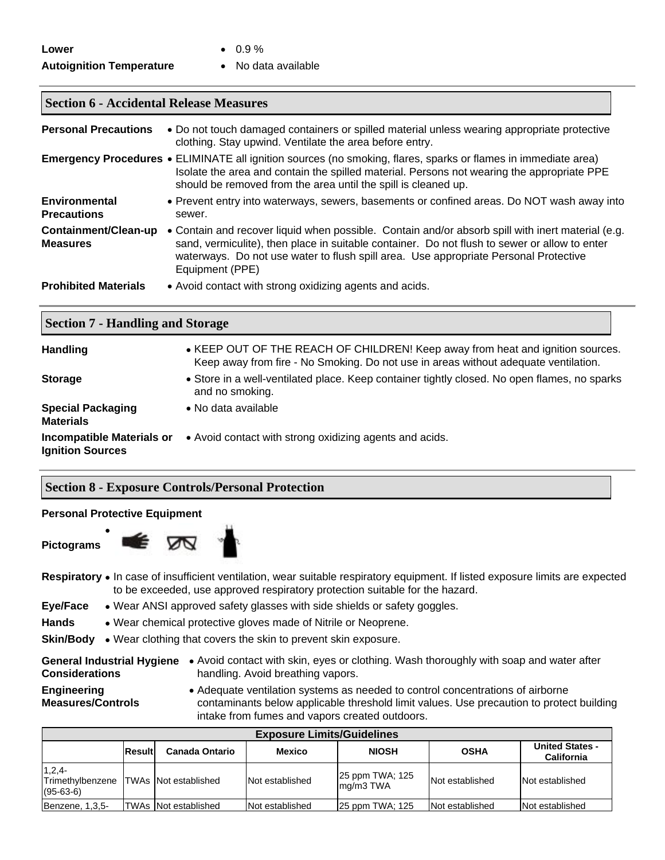### **Autoignition Temperature •** No data available

- **Lower 0.9 %** 
	-

# **Section 6 - Accidental Release Measures**

| <b>Personal Precautions</b>                | • Do not touch damaged containers or spilled material unless wearing appropriate protective<br>clothing. Stay upwind. Ventilate the area before entry.                                                                                                                                                        |
|--------------------------------------------|---------------------------------------------------------------------------------------------------------------------------------------------------------------------------------------------------------------------------------------------------------------------------------------------------------------|
|                                            | <b>Emergency Procedures •</b> ELIMINATE all ignition sources (no smoking, flares, sparks or flames in immediate area)<br>Isolate the area and contain the spilled material. Persons not wearing the appropriate PPE<br>should be removed from the area until the spill is cleaned up.                         |
| <b>Environmental</b><br><b>Precautions</b> | • Prevent entry into waterways, sewers, basements or confined areas. Do NOT wash away into<br>sewer.                                                                                                                                                                                                          |
| Containment/Clean-up<br><b>Measures</b>    | • Contain and recover liquid when possible. Contain and/or absorb spill with inert material (e.g.<br>sand, vermiculite), then place in suitable container. Do not flush to sewer or allow to enter<br>waterways. Do not use water to flush spill area. Use appropriate Personal Protective<br>Equipment (PPE) |
| <b>Prohibited Materials</b>                | • Avoid contact with strong oxidizing agents and acids.                                                                                                                                                                                                                                                       |

#### **Section 7 - Handling and Storage**

| Handling                                                    | • KEEP OUT OF THE REACH OF CHILDREN! Keep away from heat and ignition sources.<br>Keep away from fire - No Smoking. Do not use in areas without adequate ventilation. |
|-------------------------------------------------------------|-----------------------------------------------------------------------------------------------------------------------------------------------------------------------|
| <b>Storage</b>                                              | • Store in a well-ventilated place. Keep container tightly closed. No open flames, no sparks<br>and no smoking.                                                       |
| <b>Special Packaging</b><br><b>Materials</b>                | • No data available                                                                                                                                                   |
| <b>Incompatible Materials or</b><br><b>Ignition Sources</b> | • Avoid contact with strong oxidizing agents and acids.                                                                                                               |

## **Section 8 - Exposure Controls/Personal Protection**

#### **Personal Protective Equipment**

E

 $\bullet$ 

**Pictograms** 



Respiratory • In case of insufficient ventilation, wear suitable respiratory equipment. If listed exposure limits are expected to be exceeded, use approved respiratory protection suitable for the hazard.

- **Eye/Face**  Wear ANSI approved safety glasses with side shields or safety goggles.
- Hands Wear chemical protective gloves made of Nitrile or Neoprene.
- **Skin/Body** . Wear clothing that covers the skin to prevent skin exposure.
- **Considerations**
- General Industrial Hygiene Avoid contact with skin, eyes or clothing. Wash thoroughly with soap and water after handling. Avoid breathing vapors.
- **Engineering Measures/Controls**
- Adequate ventilation systems as needed to control concentrations of airborne contaminants below applicable threshold limit values. Use precaution to protect building intake from fumes and vapors created outdoors.

| <b>Exposure Limits/Guidelines</b>           |               |                             |                 |                              |                 |                                             |
|---------------------------------------------|---------------|-----------------------------|-----------------|------------------------------|-----------------|---------------------------------------------|
|                                             | <b>Result</b> | <b>Canada Ontario</b>       | <b>Mexico</b>   | <b>NIOSH</b>                 | <b>OSHA</b>     | <b>United States -</b><br><b>California</b> |
| $1,2,4-$<br>Trimethylbenzene<br>$(95-63-6)$ |               | <b>TWAs Not established</b> | Not established | 25 ppm TWA; 125<br>mg/m3 TWA | Not established | Not established                             |
| Benzene, 1,3,5-                             |               | TWAs INot established       | Not established | 25 ppm TWA; 125              | Not established | Not established                             |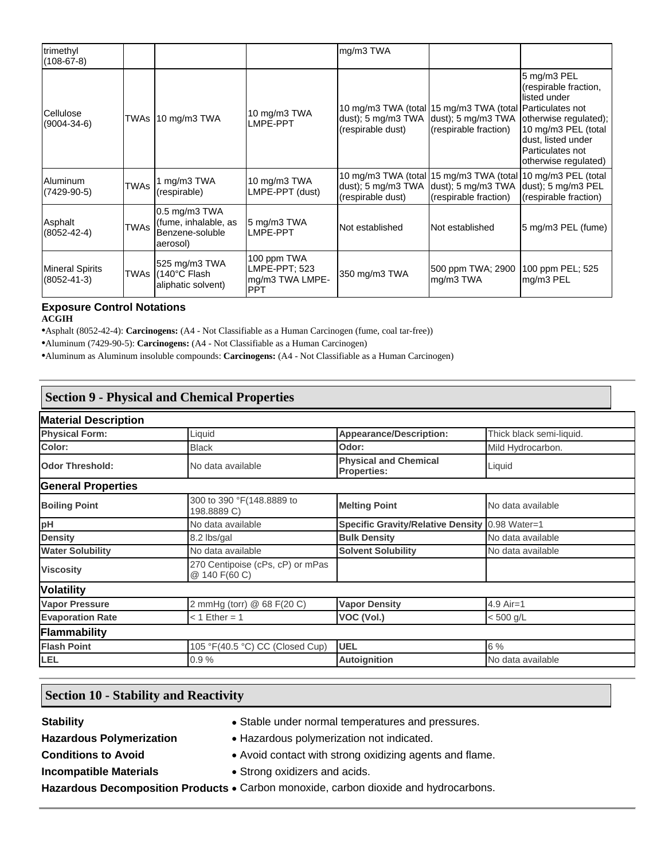| trimethyl<br>$(108-67-8)$                   |             |                                                                      |                                                               | mg/m3 TWA                                                    |                                                                                                            |                                                                                                                                                                        |
|---------------------------------------------|-------------|----------------------------------------------------------------------|---------------------------------------------------------------|--------------------------------------------------------------|------------------------------------------------------------------------------------------------------------|------------------------------------------------------------------------------------------------------------------------------------------------------------------------|
| Cellulose<br>$(9004 - 34 - 6)$              |             | TWAs 10 mg/m3 TWA                                                    | 10 mg/m3 TWA<br>LMPE-PPT                                      | dust); $5 \text{ mg/m}$ $3 \text{ TWA}$<br>(respirable dust) | 10 mg/m3 TWA (total 15 mg/m3 TWA (total Particulates not<br>$ldust$ : 5 mg/m3 TWA<br>(respirable fraction) | 5 mg/m3 PEL<br>(respirable fraction,<br>listed under<br>otherwise regulated);<br>10 mg/m3 PEL (total<br>dust, listed under<br>Particulates not<br>otherwise regulated) |
| <b>Aluminum</b><br>$(7429-90-5)$            | <b>TWAs</b> | 1 mg/m3 TWA<br>(respirable)                                          | 10 mg/m3 TWA<br>LMPE-PPT (dust)                               | dust); $5 \text{ mg/m}3 \text{ T}WA$<br>(respirable dust)    | 10 mg/m3 TWA (total 15 mg/m3 TWA (total 10 mg/m3 PEL (total<br>dust); 5 mg/m3 TWA<br>(respirable fraction) | dust); 5 mg/m3 PEL<br>(respirable fraction)                                                                                                                            |
| Asphalt<br>$(8052 - 42 - 4)$                | <b>TWAs</b> | 0.5 mg/m3 TWA<br>(fume, inhalable, as<br>Benzene-soluble<br>aerosol) | 5 mg/m3 TWA<br>LMPE-PPT                                       | Not established                                              | Not established                                                                                            | 5 mg/m3 PEL (fume)                                                                                                                                                     |
| <b>Mineral Spirits</b><br>$(8052 - 41 - 3)$ |             | 525 mg/m3 TWA<br>TWAs (140°C Flash<br>aliphatic solvent)             | 100 ppm TWA<br>LMPE-PPT: 523<br>mg/m3 TWA LMPE-<br><b>PPT</b> | 350 mg/m3 TWA                                                | 500 ppm TWA; 2900<br>mg/m3 TWA                                                                             | 100 ppm PEL; 525<br>mg/m3 PEL                                                                                                                                          |

# **Exposure Control Notations**

**ACGIH**

•Asphalt (8052-42-4): **Carcinogens:** (A4 - Not Classifiable as a Human Carcinogen (fume, coal tar-free))

•Aluminum (7429-90-5): **Carcinogens:** (A4 - Not Classifiable as a Human Carcinogen)

•Aluminum as Aluminum insoluble compounds: **Carcinogens:** (A4 - Not Classifiable as a Human Carcinogen)

# **Section 9 - Physical and Chemical Properties**

| <b>Material Description</b> |                                                   |                                                              |                          |
|-----------------------------|---------------------------------------------------|--------------------------------------------------------------|--------------------------|
| <b>Physical Form:</b>       | Liquid                                            | <b>Appearance/Description:</b>                               | Thick black semi-liquid. |
| Color:                      | <b>Black</b>                                      | Odor:                                                        | Mild Hydrocarbon.        |
| <b>Odor Threshold:</b>      | No data available                                 | <b>Physical and Chemical</b><br>Liquid<br><b>Properties:</b> |                          |
| <b>General Properties</b>   |                                                   |                                                              |                          |
| <b>Boiling Point</b>        | 300 to 390 °F(148.8889 to<br>198.8889 C)          | <b>Melting Point</b>                                         | No data available        |
| pH                          | No data available                                 | <b>Specific Gravity/Relative Density</b>                     | $0.98$ Water=1           |
| <b>Density</b>              | 8.2 lbs/gal                                       | <b>Bulk Density</b>                                          | No data available        |
| <b>Water Solubility</b>     | No data available                                 | <b>Solvent Solubility</b>                                    | No data available        |
| <b>Viscosity</b>            | 270 Centipoise (cPs, cP) or mPas<br>@ 140 F(60 C) |                                                              |                          |
| <b>Volatility</b>           |                                                   |                                                              |                          |
| <b>Vapor Pressure</b>       | 2 mmHg (torr) @ 68 F(20 C)                        | <b>Vapor Density</b>                                         | $4.9$ Air=1              |
| <b>Evaporation Rate</b>     | $< 1$ Ether = 1                                   | VOC (Vol.)                                                   | $< 500$ g/L              |
| Flammability                |                                                   |                                                              |                          |
| <b>Flash Point</b>          | 105 °F(40.5 °C) CC (Closed Cup)                   | <b>UEL</b>                                                   | 6 %                      |
| LEL                         | 0.9%                                              | <b>Autoignition</b>                                          | No data available        |

## **Section 10 - Stability and Reactivity**

**Stability Stability Stable under normal temperatures and pressures.** 

Hazardous Polymerization **•** Hazardous polymerization not indicated.

**Conditions to Avoid <b>Conditions** to Avoid **Conditions Conditions** to Avoid **Conditions Conditions Conditions Conditions Conditions Conditions Conditions Conditions Conditions Conditions Conditions**

**Incompatible Materials • Strong oxidizers and acids.** 

Hazardous Decomposition Products . Carbon monoxide, carbon dioxide and hydrocarbons.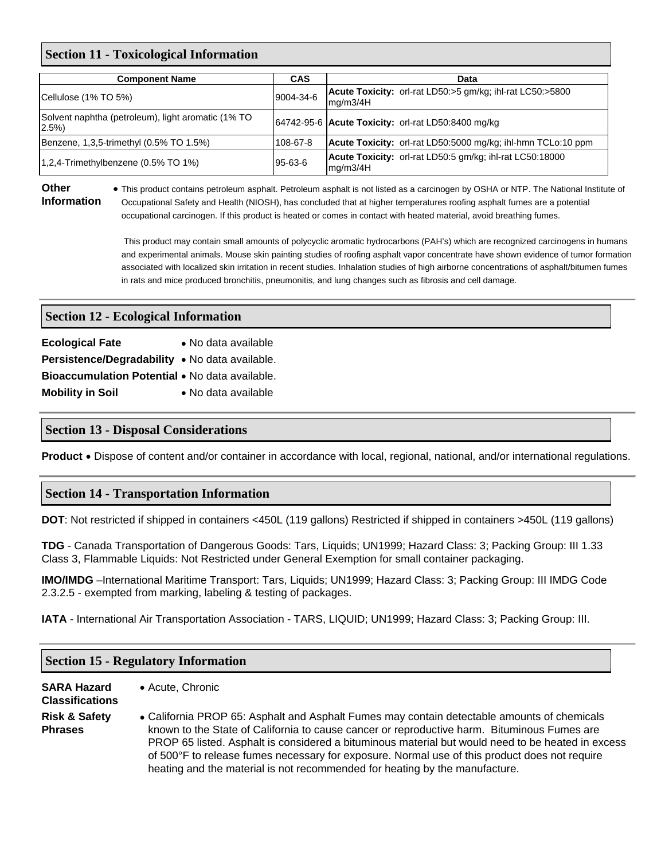#### **Section 11 - Toxicological Information**

| <b>Component Name</b>                                          | <b>CAS</b> | Data                                                                         |
|----------------------------------------------------------------|------------|------------------------------------------------------------------------------|
| Cellulose (1% TO 5%)                                           | 9004-34-6  | <b>Acute Toxicity:</b> orl-rat LD50:>5 gm/kg; ihl-rat LC50:>5800<br>mq/m3/4H |
| Solvent naphtha (petroleum), light aromatic (1% TO<br>$2.5\%)$ |            | 64742-95-6 Acute Toxicity: orl-rat LD50:8400 mg/kg                           |
| Benzene, 1,3,5-trimethyl (0.5% TO 1.5%)                        | 108-67-8   | Acute Toxicity: orl-rat LD50:5000 mg/kg; ihl-hmn TCLo:10 ppm                 |
| 1,2,4-Trimethylbenzene (0.5% TO 1%)                            | 95-63-6    | Acute Toxicity: orl-rat LD50:5 gm/kg; ihl-rat LC50:18000<br>mg/m3/4H         |

#### **Other Information**

 This product contains petroleum asphalt. Petroleum asphalt is not listed as a carcinogen by OSHA or NTP. The National Institute of Occupational Safety and Health (NIOSH), has concluded that at higher temperatures roofing asphalt fumes are a potential occupational carcinogen. If this product is heated or comes in contact with heated material, avoid breathing fumes.

 This product may contain small amounts of polycyclic aromatic hydrocarbons (PAH's) which are recognized carcinogens in humans and experimental animals. Mouse skin painting studies of roofing asphalt vapor concentrate have shown evidence of tumor formation associated with localized skin irritation in recent studies. Inhalation studies of high airborne concentrations of asphalt/bitumen fumes in rats and mice produced bronchitis, pneumonitis, and lung changes such as fibrosis and cell damage.

### **Section 12 - Ecological Information**

| <b>Ecological Fate</b>                         | • No data available |
|------------------------------------------------|---------------------|
| Persistence/Degradability • No data available. |                     |
| Bioaccumulation Potential • No data available. |                     |
| <b>Mobility in Soil</b>                        | • No data available |

#### **Section 13 - Disposal Considerations**

**Product** • Dispose of content and/or container in accordance with local, regional, national, and/or international regulations.

#### **Section 14 - Transportation Information**

**DOT**: Not restricted if shipped in containers <450L (119 gallons) Restricted if shipped in containers >450L (119 gallons)

**TDG** - Canada Transportation of Dangerous Goods: Tars, Liquids; UN1999; Hazard Class: 3; Packing Group: III 1.33 Class 3, Flammable Liquids: Not Restricted under General Exemption for small container packaging.

**IMO/IMDG** –International Maritime Transport: Tars, Liquids; UN1999; Hazard Class: 3; Packing Group: III IMDG Code 2.3.2.5 - exempted from marking, labeling & testing of packages.

**IATA** - International Air Transportation Association - TARS, LIQUID; UN1999; Hazard Class: 3; Packing Group: III.

#### **Section 15 - Regulatory Information**

**SARA Hazard** 

# **Classifications**

Acute, Chronic

**Risk & Safety** 

- 
- **Phrases**  California PROP 65: Asphalt and Asphalt Fumes may contain detectable amounts of chemicals known to the State of California to cause cancer or reproductive harm. Bituminous Fumes are PROP 65 listed. Asphalt is considered a bituminous material but would need to be heated in excess of 500°F to release fumes necessary for exposure. Normal use of this product does not require heating and the material is not recommended for heating by the manufacture.